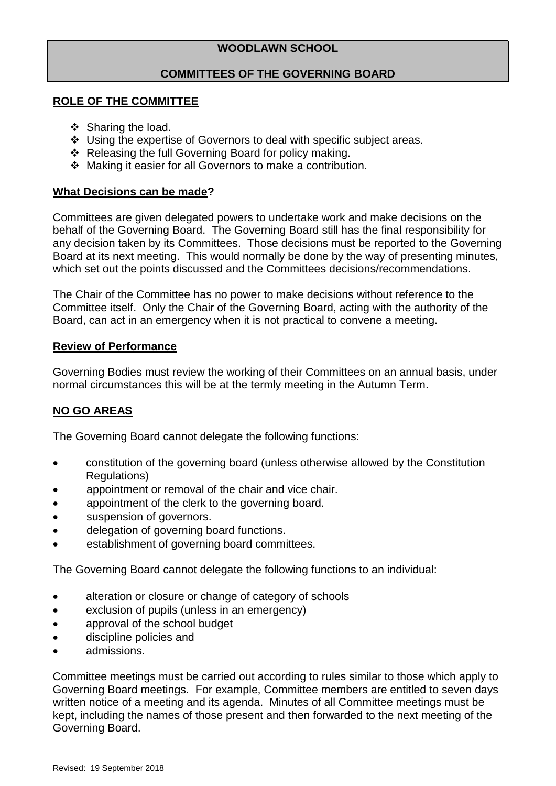# **WOODLAWN SCHOOL**

# **COMMITTEES OF THE GOVERNING BOARD**

## **ROLE OF THE COMMITTEE**

- ❖ Sharing the load.
- \* Using the expertise of Governors to deal with specific subject areas.
- ❖ Releasing the full Governing Board for policy making.
- Making it easier for all Governors to make a contribution.

# **What Decisions can be made?**

Committees are given delegated powers to undertake work and make decisions on the behalf of the Governing Board. The Governing Board still has the final responsibility for any decision taken by its Committees. Those decisions must be reported to the Governing Board at its next meeting. This would normally be done by the way of presenting minutes, which set out the points discussed and the Committees decisions/recommendations.

The Chair of the Committee has no power to make decisions without reference to the Committee itself. Only the Chair of the Governing Board, acting with the authority of the Board, can act in an emergency when it is not practical to convene a meeting.

# **Review of Performance**

Governing Bodies must review the working of their Committees on an annual basis, under normal circumstances this will be at the termly meeting in the Autumn Term.

# **NO GO AREAS**

The Governing Board cannot delegate the following functions:

- constitution of the governing board (unless otherwise allowed by the Constitution Regulations)
- appointment or removal of the chair and vice chair.
- appointment of the clerk to the governing board.
- suspension of governors.
- delegation of governing board functions.
- establishment of governing board committees.

The Governing Board cannot delegate the following functions to an individual:

- alteration or closure or change of category of schools
- exclusion of pupils (unless in an emergency)
- approval of the school budget
- discipline policies and
- admissions.

Committee meetings must be carried out according to rules similar to those which apply to Governing Board meetings. For example, Committee members are entitled to seven days written notice of a meeting and its agenda. Minutes of all Committee meetings must be kept, including the names of those present and then forwarded to the next meeting of the Governing Board.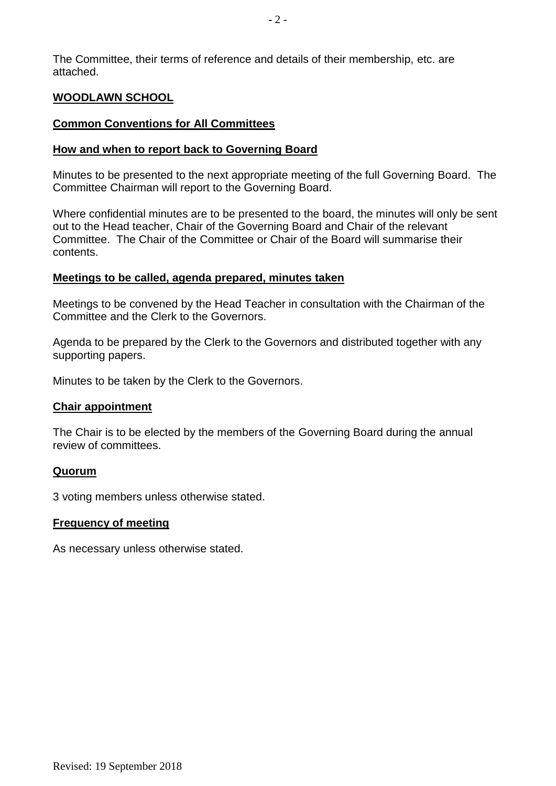The Committee, their terms of reference and details of their membership, etc. are attached.

## **WOODLAWN SCHOOL**

#### **Common Conventions for All Committees**

#### **How and when to report back to Governing Board**

Minutes to be presented to the next appropriate meeting of the full Governing Board. The Committee Chairman will report to the Governing Board.

Where confidential minutes are to be presented to the board, the minutes will only be sent out to the Head teacher, Chair of the Governing Board and Chair of the relevant Committee. The Chair of the Committee or Chair of the Board will summarise their contents.

### **Meetings to be called, agenda prepared, minutes taken**

Meetings to be convened by the Head Teacher in consultation with the Chairman of the Committee and the Clerk to the Governors.

Agenda to be prepared by the Clerk to the Governors and distributed together with any supporting papers.

Minutes to be taken by the Clerk to the Governors.

#### **Chair appointment**

The Chair is to be elected by the members of the Governing Board during the annual review of committees.

#### **Quorum**

3 voting members unless otherwise stated.

#### **Frequency of meeting**

As necessary unless otherwise stated.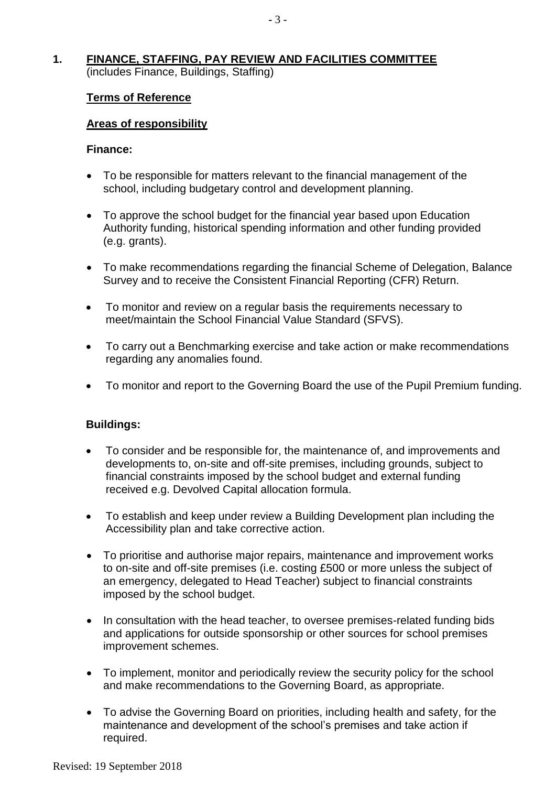# **1. FINANCE, STAFFING, PAY REVIEW AND FACILITIES COMMITTEE**

(includes Finance, Buildings, Staffing)

# **Terms of Reference**

# **Areas of responsibility**

## **Finance:**

- To be responsible for matters relevant to the financial management of the school, including budgetary control and development planning.
- To approve the school budget for the financial year based upon Education Authority funding, historical spending information and other funding provided (e.g. grants).
- To make recommendations regarding the financial Scheme of Delegation, Balance Survey and to receive the Consistent Financial Reporting (CFR) Return.
- To monitor and review on a regular basis the requirements necessary to meet/maintain the School Financial Value Standard (SFVS).
- To carry out a Benchmarking exercise and take action or make recommendations regarding any anomalies found.
- To monitor and report to the Governing Board the use of the Pupil Premium funding.

# **Buildings:**

- To consider and be responsible for, the maintenance of, and improvements and developments to, on-site and off-site premises, including grounds, subject to financial constraints imposed by the school budget and external funding received e.g. Devolved Capital allocation formula.
- To establish and keep under review a Building Development plan including the Accessibility plan and take corrective action.
- To prioritise and authorise major repairs, maintenance and improvement works to on-site and off-site premises (i.e. costing £500 or more unless the subject of an emergency, delegated to Head Teacher) subject to financial constraints imposed by the school budget.
- In consultation with the head teacher, to oversee premises-related funding bids and applications for outside sponsorship or other sources for school premises improvement schemes.
- To implement, monitor and periodically review the security policy for the school and make recommendations to the Governing Board, as appropriate.
- To advise the Governing Board on priorities, including health and safety, for the maintenance and development of the school's premises and take action if required.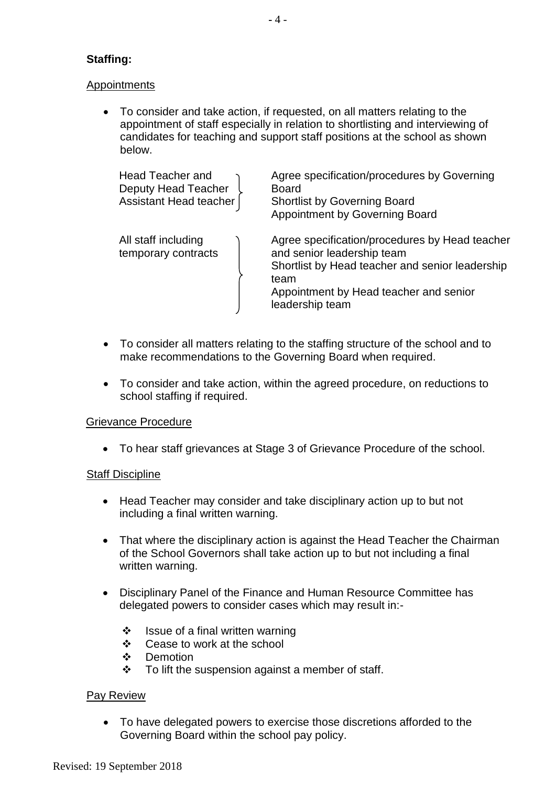# **Staffing:**

# **Appointments**

 To consider and take action, if requested, on all matters relating to the appointment of staff especially in relation to shortlisting and interviewing of candidates for teaching and support staff positions at the school as shown below.

| Head Teacher and<br>Deputy Head Teacher<br>Assistant Head teacher | Agree specification/procedures by Governing<br><b>Board</b><br><b>Shortlist by Governing Board</b><br>Appointment by Governing Board                                                                 |
|-------------------------------------------------------------------|------------------------------------------------------------------------------------------------------------------------------------------------------------------------------------------------------|
| All staff including<br>temporary contracts                        | Agree specification/procedures by Head teacher<br>and senior leadership team<br>Shortlist by Head teacher and senior leadership<br>team<br>Appointment by Head teacher and senior<br>leadership team |

- To consider all matters relating to the staffing structure of the school and to make recommendations to the Governing Board when required.
- To consider and take action, within the agreed procedure, on reductions to school staffing if required.

# Grievance Procedure

To hear staff grievances at Stage 3 of Grievance Procedure of the school.

# **Staff Discipline**

- Head Teacher may consider and take disciplinary action up to but not including a final written warning.
- That where the disciplinary action is against the Head Teacher the Chairman of the School Governors shall take action up to but not including a final written warning.
- Disciplinary Panel of the Finance and Human Resource Committee has delegated powers to consider cases which may result in:-
	- $\div$  Issue of a final written warning
	- Cease to work at the school
	- ❖ Demotion
	- $\div$  To lift the suspension against a member of staff.

# Pay Review

 To have delegated powers to exercise those discretions afforded to the Governing Board within the school pay policy.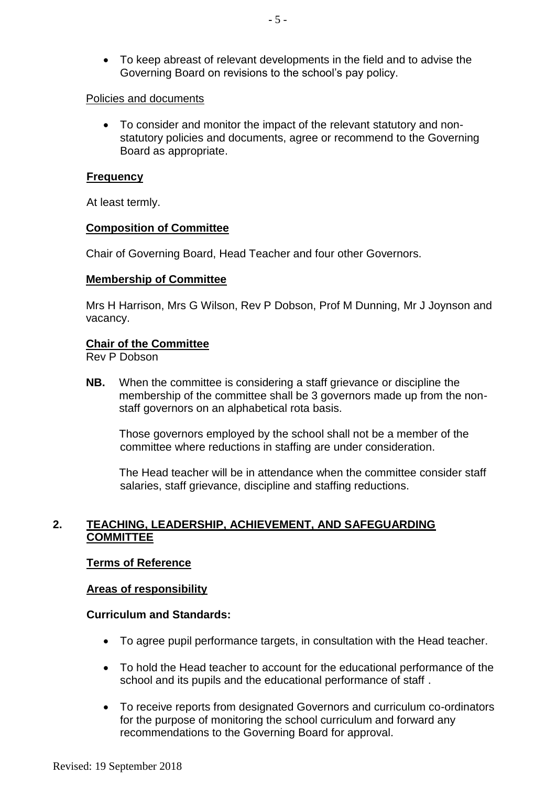To keep abreast of relevant developments in the field and to advise the Governing Board on revisions to the school's pay policy.

## Policies and documents

 To consider and monitor the impact of the relevant statutory and nonstatutory policies and documents, agree or recommend to the Governing Board as appropriate.

### **Frequency**

At least termly.

# **Composition of Committee**

Chair of Governing Board, Head Teacher and four other Governors.

### **Membership of Committee**

Mrs H Harrison, Mrs G Wilson, Rev P Dobson, Prof M Dunning, Mr J Joynson and vacancy.

# **Chair of the Committee**

Rev P Dobson

**NB.** When the committee is considering a staff grievance or discipline the membership of the committee shall be 3 governors made up from the nonstaff governors on an alphabetical rota basis.

Those governors employed by the school shall not be a member of the committee where reductions in staffing are under consideration.

The Head teacher will be in attendance when the committee consider staff salaries, staff grievance, discipline and staffing reductions.

# **2. TEACHING, LEADERSHIP, ACHIEVEMENT, AND SAFEGUARDING COMMITTEE**

# **Terms of Reference**

# **Areas of responsibility**

#### **Curriculum and Standards:**

- To agree pupil performance targets, in consultation with the Head teacher.
- To hold the Head teacher to account for the educational performance of the school and its pupils and the educational performance of staff .
- To receive reports from designated Governors and curriculum co-ordinators for the purpose of monitoring the school curriculum and forward any recommendations to the Governing Board for approval.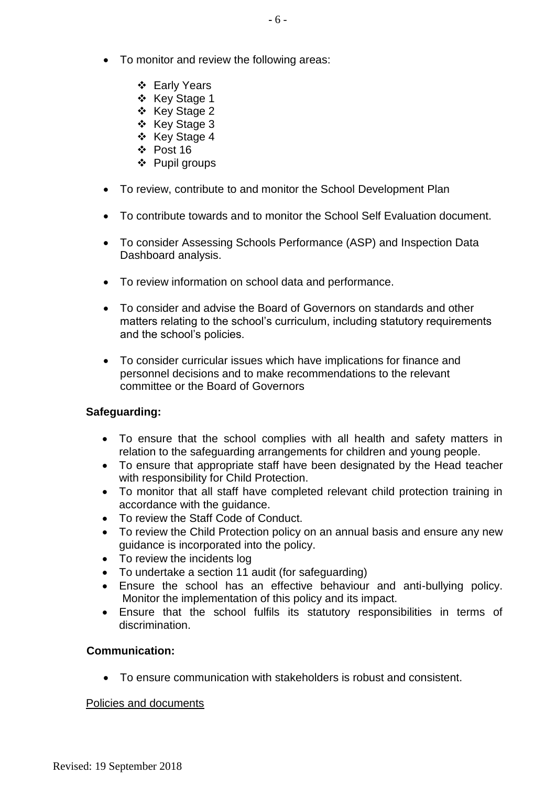- To monitor and review the following areas:
	- ❖ Early Years
	- ❖ Key Stage 1
	- ❖ Key Stage 2
	- ❖ Key Stage 3
	- ❖ Key Stage 4
	- Post 16
	- ❖ Pupil groups
- To review, contribute to and monitor the School Development Plan
- To contribute towards and to monitor the School Self Evaluation document.
- To consider Assessing Schools Performance (ASP) and Inspection Data Dashboard analysis.
- To review information on school data and performance.
- To consider and advise the Board of Governors on standards and other matters relating to the school's curriculum, including statutory requirements and the school's policies.
- To consider curricular issues which have implications for finance and personnel decisions and to make recommendations to the relevant committee or the Board of Governors

# **Safeguarding:**

- To ensure that the school complies with all health and safety matters in relation to the safeguarding arrangements for children and young people.
- To ensure that appropriate staff have been designated by the Head teacher with responsibility for Child Protection.
- To monitor that all staff have completed relevant child protection training in accordance with the guidance.
- To review the Staff Code of Conduct.
- To review the Child Protection policy on an annual basis and ensure any new guidance is incorporated into the policy.
- To review the incidents log
- To undertake a section 11 audit (for safeguarding)
- Ensure the school has an effective behaviour and anti-bullying policy. Monitor the implementation of this policy and its impact.
- Ensure that the school fulfils its statutory responsibilities in terms of discrimination.

# **Communication:**

To ensure communication with stakeholders is robust and consistent.

# Policies and documents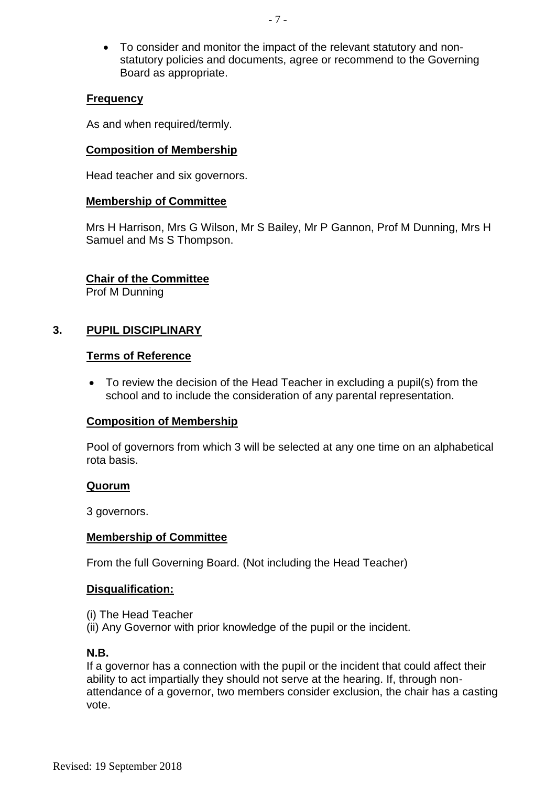To consider and monitor the impact of the relevant statutory and nonstatutory policies and documents, agree or recommend to the Governing Board as appropriate.

## **Frequency**

As and when required/termly.

### **Composition of Membership**

Head teacher and six governors.

### **Membership of Committee**

Mrs H Harrison, Mrs G Wilson, Mr S Bailey, Mr P Gannon, Prof M Dunning, Mrs H Samuel and Ms S Thompson.

# **Chair of the Committee**

Prof M Dunning

# **3. PUPIL DISCIPLINARY**

### **Terms of Reference**

 To review the decision of the Head Teacher in excluding a pupil(s) from the school and to include the consideration of any parental representation.

# **Composition of Membership**

Pool of governors from which 3 will be selected at any one time on an alphabetical rota basis.

# **Quorum**

3 governors.

# **Membership of Committee**

From the full Governing Board. (Not including the Head Teacher)

# **Disqualification:**

- (i) The Head Teacher
- (ii) Any Governor with prior knowledge of the pupil or the incident.

#### **N.B.**

If a governor has a connection with the pupil or the incident that could affect their ability to act impartially they should not serve at the hearing. If, through nonattendance of a governor, two members consider exclusion, the chair has a casting vote.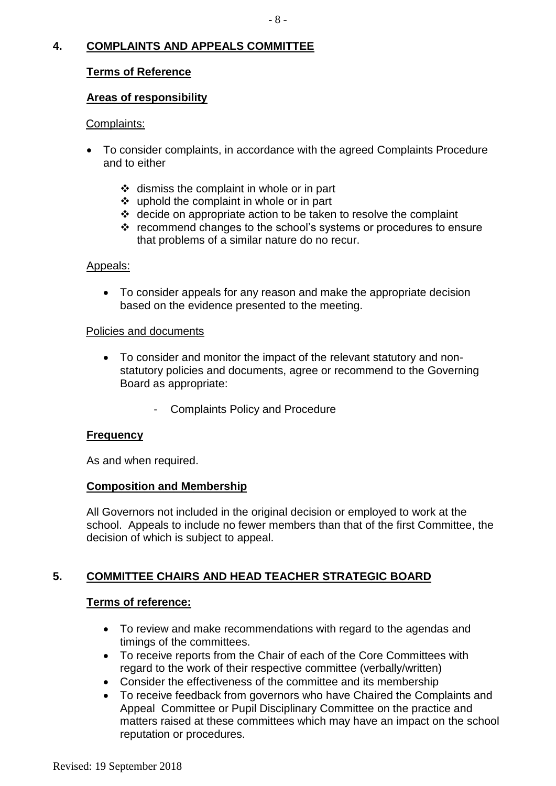# **4. COMPLAINTS AND APPEALS COMMITTEE**

# **Terms of Reference**

# **Areas of responsibility**

# Complaints:

- To consider complaints, in accordance with the agreed Complaints Procedure and to either
	- $\div$  dismiss the complaint in whole or in part
	- uphold the complaint in whole or in part
	- $\div$  decide on appropriate action to be taken to resolve the complaint
	- \* recommend changes to the school's systems or procedures to ensure that problems of a similar nature do no recur.

# Appeals:

 To consider appeals for any reason and make the appropriate decision based on the evidence presented to the meeting.

# Policies and documents

- To consider and monitor the impact of the relevant statutory and nonstatutory policies and documents, agree or recommend to the Governing Board as appropriate:
	- Complaints Policy and Procedure

# **Frequency**

As and when required.

# **Composition and Membership**

All Governors not included in the original decision or employed to work at the school. Appeals to include no fewer members than that of the first Committee, the decision of which is subject to appeal.

# **5. COMMITTEE CHAIRS AND HEAD TEACHER STRATEGIC BOARD**

# **Terms of reference:**

- To review and make recommendations with regard to the agendas and timings of the committees.
- To receive reports from the Chair of each of the Core Committees with regard to the work of their respective committee (verbally/written)
- Consider the effectiveness of the committee and its membership
- To receive feedback from governors who have Chaired the Complaints and Appeal Committee or Pupil Disciplinary Committee on the practice and matters raised at these committees which may have an impact on the school reputation or procedures.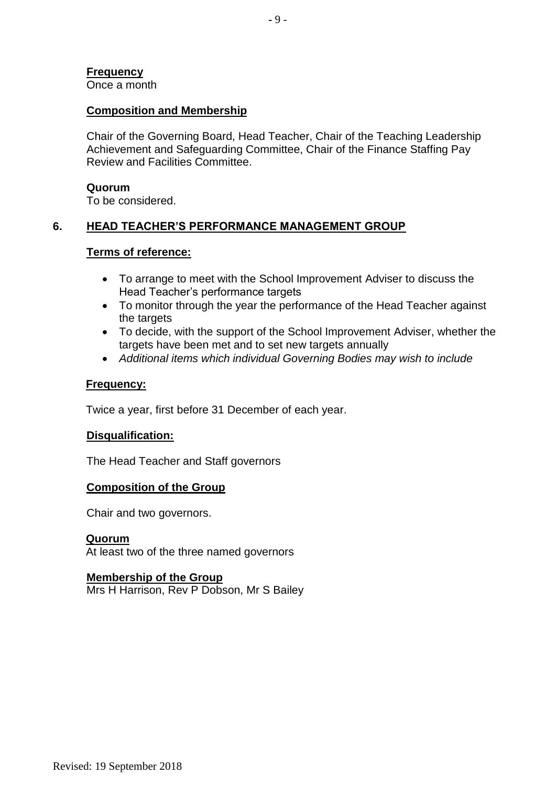**Frequency**

Once a month

### **Composition and Membership**

Chair of the Governing Board, Head Teacher, Chair of the Teaching Leadership Achievement and Safeguarding Committee, Chair of the Finance Staffing Pay Review and Facilities Committee.

#### **Quorum**

To be considered.

# **6. HEAD TEACHER'S PERFORMANCE MANAGEMENT GROUP**

### **Terms of reference:**

- To arrange to meet with the School Improvement Adviser to discuss the Head Teacher's performance targets
- To monitor through the year the performance of the Head Teacher against the targets
- To decide, with the support of the School Improvement Adviser, whether the targets have been met and to set new targets annually
- *Additional items which individual Governing Bodies may wish to include*

### **Frequency:**

Twice a year, first before 31 December of each year.

#### **Disqualification:**

The Head Teacher and Staff governors

#### **Composition of the Group**

Chair and two governors.

#### **Quorum**

At least two of the three named governors

# **Membership of the Group**

Mrs H Harrison, Rev P Dobson, Mr S Bailey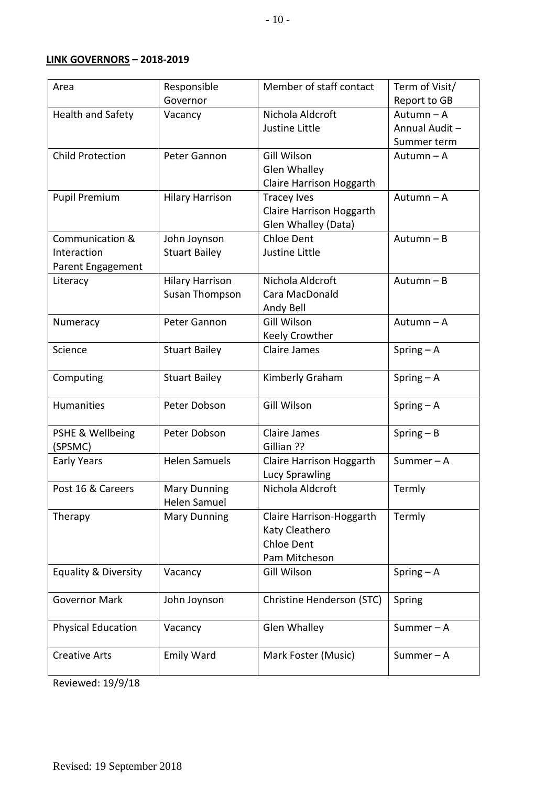# **LINK GOVERNORS – 2018-2019**

| Area                            | Responsible            | Member of staff contact   | Term of Visit/ |
|---------------------------------|------------------------|---------------------------|----------------|
|                                 | Governor               |                           | Report to GB   |
| <b>Health and Safety</b>        | Vacancy                | Nichola Aldcroft          | Autumn - A     |
|                                 |                        | Justine Little            | Annual Audit - |
|                                 |                        |                           | Summer term    |
| <b>Child Protection</b>         | Peter Gannon           | Gill Wilson               | Autumn-A       |
|                                 |                        | <b>Glen Whalley</b>       |                |
|                                 |                        | Claire Harrison Hoggarth  |                |
| <b>Pupil Premium</b>            | <b>Hilary Harrison</b> | <b>Tracey Ives</b>        | Autumn-A       |
|                                 |                        | Claire Harrison Hoggarth  |                |
|                                 |                        | Glen Whalley (Data)       |                |
| Communication &                 | John Joynson           | <b>Chloe Dent</b>         | Autumn-B       |
| Interaction                     | <b>Stuart Bailey</b>   | Justine Little            |                |
| Parent Engagement               |                        |                           |                |
| Literacy                        | <b>Hilary Harrison</b> | Nichola Aldcroft          | Autumn-B       |
|                                 | Susan Thompson         | Cara MacDonald            |                |
|                                 |                        | Andy Bell                 |                |
| Numeracy                        | Peter Gannon           | <b>Gill Wilson</b>        | Autumn-A       |
|                                 |                        | Keely Crowther            |                |
| Science                         | <b>Stuart Bailey</b>   | <b>Claire James</b>       | Spring $- A$   |
|                                 |                        |                           |                |
| Computing                       | <b>Stuart Bailey</b>   | Kimberly Graham           | Spring $- A$   |
|                                 |                        |                           |                |
| Humanities                      | Peter Dobson           | Gill Wilson               | Spring $- A$   |
|                                 |                        |                           |                |
| PSHE & Wellbeing                | Peter Dobson           | <b>Claire James</b>       | $Spring - B$   |
| (SPSMC)                         |                        | Gillian ??                |                |
| <b>Early Years</b>              | <b>Helen Samuels</b>   | Claire Harrison Hoggarth  | Summer $-$ A   |
|                                 |                        | Lucy Sprawling            |                |
| Post 16 & Careers               | <b>Mary Dunning</b>    | Nichola Aldcroft          | Termly         |
|                                 | Helen Samuel           |                           |                |
| Therapy                         | <b>Mary Dunning</b>    | Claire Harrison-Hoggarth  | Termly         |
|                                 |                        | Katy Cleathero            |                |
|                                 |                        | <b>Chloe Dent</b>         |                |
|                                 |                        | Pam Mitcheson             |                |
| <b>Equality &amp; Diversity</b> | Vacancy                | Gill Wilson               | Spring $- A$   |
|                                 |                        |                           |                |
| <b>Governor Mark</b>            | John Joynson           | Christine Henderson (STC) | Spring         |
|                                 |                        |                           |                |
| <b>Physical Education</b>       | Vacancy                | <b>Glen Whalley</b>       | Summer $-$ A   |
|                                 |                        |                           |                |
| <b>Creative Arts</b>            | <b>Emily Ward</b>      | Mark Foster (Music)       | Summer-A       |
|                                 |                        |                           |                |

Reviewed: 19/9/18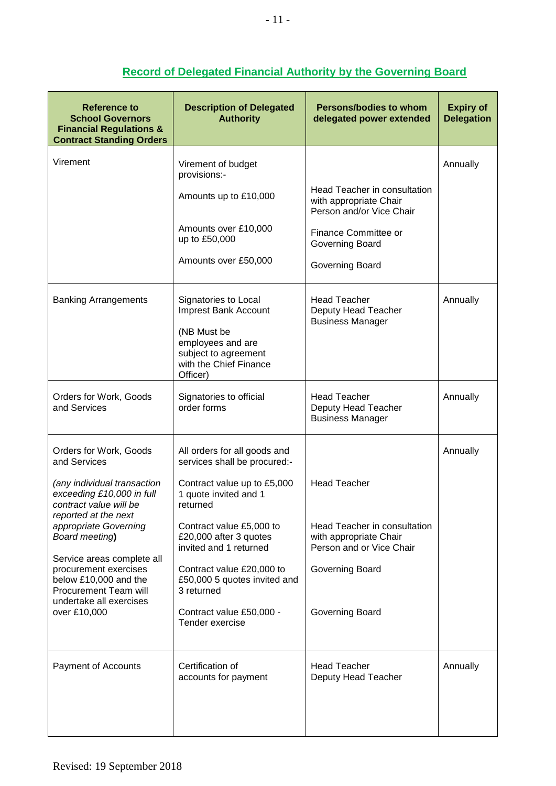| Reference to<br><b>School Governors</b><br><b>Financial Regulations &amp;</b><br><b>Contract Standing Orders</b>                                                                                                                                                                                                                                    | <b>Description of Delegated</b><br><b>Authority</b>                                                                                                                                                                                                                                                                                        | <b>Persons/bodies to whom</b><br>delegated power extended                                                                                        | <b>Expiry of</b><br><b>Delegation</b> |
|-----------------------------------------------------------------------------------------------------------------------------------------------------------------------------------------------------------------------------------------------------------------------------------------------------------------------------------------------------|--------------------------------------------------------------------------------------------------------------------------------------------------------------------------------------------------------------------------------------------------------------------------------------------------------------------------------------------|--------------------------------------------------------------------------------------------------------------------------------------------------|---------------------------------------|
| Virement                                                                                                                                                                                                                                                                                                                                            | Virement of budget<br>provisions:-<br>Amounts up to £10,000<br>Amounts over £10,000<br>up to £50,000<br>Amounts over £50,000                                                                                                                                                                                                               | Head Teacher in consultation<br>with appropriate Chair<br>Person and/or Vice Chair<br>Finance Committee or<br>Governing Board<br>Governing Board | Annually                              |
| <b>Banking Arrangements</b>                                                                                                                                                                                                                                                                                                                         | Signatories to Local<br>Imprest Bank Account<br>(NB Must be<br>employees and are<br>subject to agreement<br>with the Chief Finance<br>Officer)                                                                                                                                                                                             | <b>Head Teacher</b><br>Deputy Head Teacher<br><b>Business Manager</b>                                                                            | Annually                              |
| Orders for Work, Goods<br>and Services                                                                                                                                                                                                                                                                                                              | Signatories to official<br>order forms                                                                                                                                                                                                                                                                                                     | <b>Head Teacher</b><br>Deputy Head Teacher<br><b>Business Manager</b>                                                                            | Annually                              |
| Orders for Work, Goods<br>and Services<br>(any individual transaction<br>exceeding £10,000 in full<br>contract value will be<br>reported at the next<br>appropriate Governing<br>Board meeting)<br>Service areas complete all<br>procurement exercises<br>below £10,000 and the<br>Procurement Team will<br>undertake all exercises<br>over £10,000 | All orders for all goods and<br>services shall be procured:-<br>Contract value up to £5,000<br>1 quote invited and 1<br>returned<br>Contract value £5,000 to<br>£20,000 after 3 quotes<br>invited and 1 returned<br>Contract value £20,000 to<br>£50,000 5 quotes invited and<br>3 returned<br>Contract value £50,000 -<br>Tender exercise | <b>Head Teacher</b><br>Head Teacher in consultation<br>with appropriate Chair<br>Person and or Vice Chair<br>Governing Board<br>Governing Board  | Annually                              |
| Payment of Accounts                                                                                                                                                                                                                                                                                                                                 | Certification of<br>accounts for payment                                                                                                                                                                                                                                                                                                   | <b>Head Teacher</b><br>Deputy Head Teacher                                                                                                       | Annually                              |

# **Record of Delegated Financial Authority by the Governing Board**